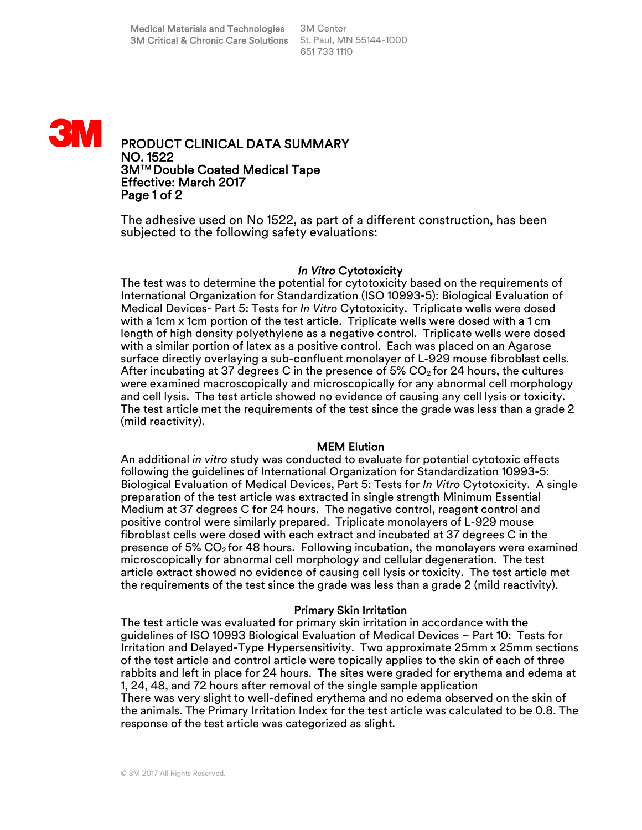

PRODUCT CLINICAL DATA SUMMARY NO. 1522 3MTM Double Coated Medical Tape Effective: March 2017 Page 1 of 2

The adhesive used on No 1522, as part of a different construction, has been subjected to the following safety evaluations:

## *In Vitro* Cytotoxicity

The test was to determine the potential for cytotoxicity based on the requirements of International Organization for Standardization (ISO 10993-5): Biological Evaluation of Medical Devices- Part 5: Tests for *In Vitro* Cytotoxicity. Triplicate wells were dosed with a 1cm x 1cm portion of the test article. Triplicate wells were dosed with a 1 cm length of high density polyethylene as a negative control. Triplicate wells were dosed with a similar portion of latex as a positive control. Each was placed on an Agarose surface directly overlaying a sub-confluent monolayer of L-929 mouse fibroblast cells. After incubating at 37 degrees C in the presence of 5%  $CO<sub>2</sub>$  for 24 hours, the cultures were examined macroscopically and microscopically for any abnormal cell morphology and cell lysis. The test article showed no evidence of causing any cell lysis or toxicity. The test article met the requirements of the test since the grade was less than a grade 2 (mild reactivity).

## MEM Elution

An additional *in vitro* study was conducted to evaluate for potential cytotoxic effects following the guidelines of International Organization for Standardization 10993-5: Biological Evaluation of Medical Devices, Part 5: Tests for *In Vitro* Cytotoxicity. A single preparation of the test article was extracted in single strength Minimum Essential Medium at 37 degrees C for 24 hours. The negative control, reagent control and positive control were similarly prepared. Triplicate monolayers of L-929 mouse fibroblast cells were dosed with each extract and incubated at 37 degrees C in the presence of 5%  $CO<sub>2</sub>$  for 48 hours. Following incubation, the monolayers were examined microscopically for abnormal cell morphology and cellular degeneration. The test article extract showed no evidence of causing cell lysis or toxicity. The test article met the requirements of the test since the grade was less than a grade 2 (mild reactivity).

## Primary Skin Irritation

The test article was evaluated for primary skin irritation in accordance with the guidelines of ISO 10993 Biological Evaluation of Medical Devices – Part 10: Tests for Irritation and Delayed-Type Hypersensitivity. Two approximate 25mm x 25mm sections of the test article and control article were topically applies to the skin of each of three rabbits and left in place for 24 hours. The sites were graded for erythema and edema at 1, 24, 48, and 72 hours after removal of the single sample application There was very slight to well-defined erythema and no edema observed on the skin of the animals. The Primary Irritation Index for the test article was calculated to be 0.8. The response of the test article was categorized as slight.